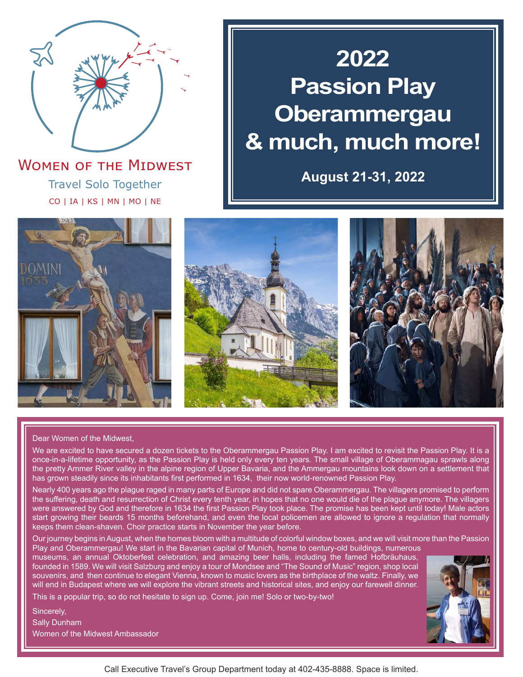

Travel Solo Together CO | IA | KS | MN | MO | NE **WOMEN OF THE MIDWEST** 

## **2022 Passion Play Oberammergau & much, much more!**

**August 21-31, 2022**







#### Dear Women of the Midwest,

We are excited to have secured a dozen tickets to the Oberammergau Passion Play. I am excited to revisit the Passion Play. It is a once-in-a-lifetime opportunity, as the Passion Play is held only every ten years. The small village of Oberammagau sprawls along the pretty Ammer River valley in the alpine region of Upper Bavaria, and the Ammergau mountains look down on a settlement that has grown steadily since its inhabitants first performed in 1634, their now world-renowned Passion Play.

Nearly 400 years ago the plague raged in many parts of Europe and did not spare Oberammergau. The villagers promised to perform the suffering, death and resurrection of Christ every tenth year, in hopes that no one would die of the plague anymore. The villagers were answered by God and therefore in 1634 the first Passion Play took place. The promise has been kept until today! Male actors start growing their beards 15 months beforehand, and even the local policemen are allowed to ignore a regulation that normally keeps them clean-shaven. Choir practice starts in November the year before.

Our journey begins in August, when the homes bloom with a multitude of colorful window boxes, and we will visit more than the Passion Play and Oberammergau! We start in the Bavarian capital of Munich, home to century-old buildings, numerous

museums, an annual Oktoberfest celebration, and amazing beer halls, including the famed Hofbräuhaus, founded in 1589. We will visit Salzburg and enjoy a tour of Mondsee and "The Sound of Music" region, shop local souvenirs, and then continue to elegant Vienna, known to music lovers as the birthplace of the waltz. Finally, we will end in Budapest where we will explore the vibrant streets and historical sites, and enjoy our farewell dinner.

This is a popular trip, so do not hesitate to sign up. Come, join me! Solo or two-by-two!

Sincerely, Sally Dunham Women of the Midwest Ambassador



Call Executive Travel's Group Department today at 402-435-8888. Space is limited.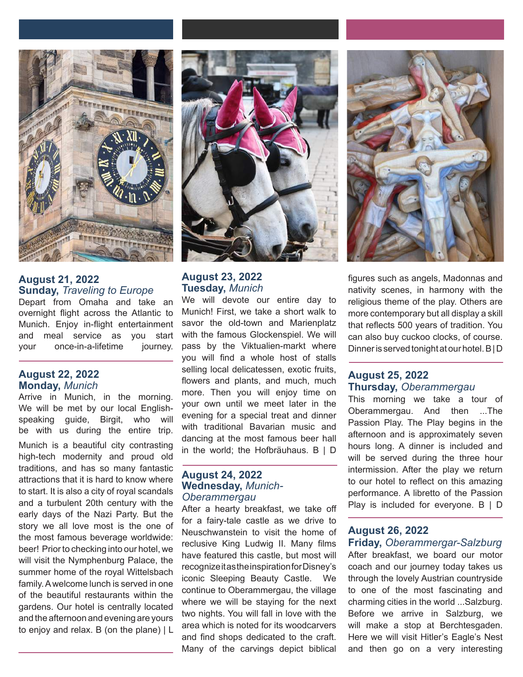

## **August 21, 2022 Sunday,** *Traveling to Europe*

Depart from Omaha and take an overnight flight across the Atlantic to Munich. Enjoy in-flight entertainment and meal service as you start your once-in-a-lifetime journey.

#### **August 22, 2022 Monday,** *Munich*

Arrive in Munich, in the morning. We will be met by our local Englishspeaking guide, Birgit, who will be with us during the entire trip.

Munich is a beautiful city contrasting high-tech modernity and proud old traditions, and has so many fantastic attractions that it is hard to know where to start. It is also a city of royal scandals and a turbulent 20th century with the early days of the Nazi Party. But the story we all love most is the one of the most famous beverage worldwide: beer! Prior to checking into our hotel, we will visit the Nymphenburg Palace, the summer home of the royal Wittelsbach family. A welcome lunch is served in one of the beautiful restaurants within the gardens. Our hotel is centrally located and the afternoon and evening are yours to enjoy and relax. B (on the plane) | L



**August 23, 2022 Tuesday,** *Munich*

We will devote our entire day to Munich! First, we take a short walk to savor the old-town and Marienplatz with the famous Glockenspiel. We will pass by the Viktualien-markt where you will find a whole host of stalls selling local delicatessen, exotic fruits, flowers and plants, and much, much more. Then you will enjoy time on your own until we meet later in the evening for a special treat and dinner with traditional Bavarian music and dancing at the most famous beer hall in the world; the Hofbräuhaus. B | D

## **August 24, 2022 Wednesday,** *Munich-Oberammergau*

After a hearty breakfast, we take off for a fairy-tale castle as we drive to Neuschwanstein to visit the home of reclusive King Ludwig II. Many films have featured this castle, but most will recognize it as the inspiration for Disney's iconic Sleeping Beauty Castle. We continue to Oberammergau, the village where we will be staying for the next two nights. You will fall in love with the area which is noted for its woodcarvers and find shops dedicated to the craft. Many of the carvings depict biblical



figures such as angels, Madonnas and nativity scenes, in harmony with the religious theme of the play. Others are more contemporary but all display a skill that reflects 500 years of tradition. You can also buy cuckoo clocks, of course. Dinner is served tonight at our hotel. B | D

#### **August 25, 2022 Thursday,** *Oberammergau*

This morning we take a tour of Oberammergau. And then ...The Passion Play. The Play begins in the afternoon and is approximately seven hours long. A dinner is included and will be served during the three hour intermission. After the play we return to our hotel to reflect on this amazing performance. A libretto of the Passion Play is included for everyone. B | D

#### **August 26, 2022 Friday,** *Oberammergar-Salzburg*

After breakfast, we board our motor coach and our journey today takes us through the lovely Austrian countryside to one of the most fascinating and charming cities in the world ...Salzburg. Before we arrive in Salzburg, we will make a stop at Berchtesgaden. Here we will visit Hitler's Eagle's Nest and then go on a very interesting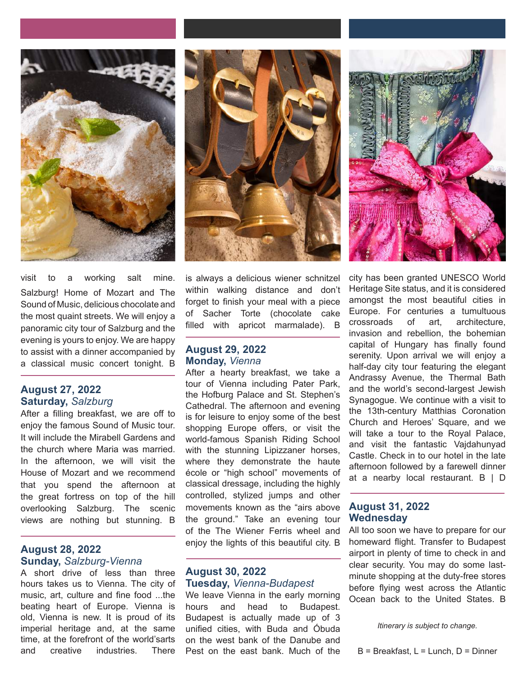

visit to a working salt mine. Salzburg! Home of Mozart and The Sound of Music, delicious chocolate and the most quaint streets. We will enjoy a panoramic city tour of Salzburg and the evening is yours to enjoy. We are happy to assist with a dinner accompanied by a classical music concert tonight. B

### **August 27, 2022 Saturday,** *Salzburg*

After a filling breakfast, we are off to enjoy the famous Sound of Music tour. It will include the Mirabell Gardens and the church where Maria was married. In the afternoon, we will visit the House of Mozart and we recommend that you spend the afternoon at the great fortress on top of the hill overlooking Salzburg. The scenic views are nothing but stunning. B

#### **August 28, 2022 Sunday,** *Salzburg-Vienna*

A short drive of less than three hours takes us to Vienna. The city of music, art, culture and fine food ...the beating heart of Europe. Vienna is old, Vienna is new. It is proud of its imperial heritage and, at the same time, at the forefront of the world'sarts and creative industries. There



is always a delicious wiener schnitzel within walking distance and don't forget to finish your meal with a piece of Sacher Torte (chocolate cake filled with apricot marmalade). B

## **August 29, 2022 Monday,** *Vienna*

After a hearty breakfast, we take a tour of Vienna including Pater Park, the Hofburg Palace and St. Stephen's Cathedral. The afternoon and evening is for leisure to enjoy some of the best shopping Europe offers, or visit the world-famous Spanish Riding School with the stunning Lipizzaner horses, where they demonstrate the haute école or "high school" movements of classical dressage, including the highly controlled, stylized jumps and other movements known as the "airs above the ground." Take an evening tour of the The Wiener Ferris wheel and enjoy the lights of this beautiful city. B

## **August 30, 2022 Tuesday,** *Vienna-Budapest*

We leave Vienna in the early morning hours and head to Budapest. Budapest is actually made up of 3 unified cities, with Buda and Óbuda on the west bank of the Danube and Pest on the east bank. Much of the

city has been granted UNESCO World Heritage Site status, and it is considered amongst the most beautiful cities in Europe. For centuries a tumultuous crossroads of art, architecture, invasion and rebellion, the bohemian capital of Hungary has finally found serenity. Upon arrival we will enjoy a half-day city tour featuring the elegant Andrassy Avenue, the Thermal Bath and the world's second-largest Jewish Synagogue. We continue with a visit to the 13th-century Matthias Coronation Church and Heroes' Square, and we will take a tour to the Royal Palace, and visit the fantastic Vajdahunyad Castle. Check in to our hotel in the late afternoon followed by a farewell dinner at a nearby local restaurant. B | D

## **August 31, 2022 Wednesday**

All too soon we have to prepare for our homeward flight. Transfer to Budapest airport in plenty of time to check in and clear security. You may do some lastminute shopping at the duty-free stores before flying west across the Atlantic Ocean back to the United States. B

*Itinerary is subject to change.*